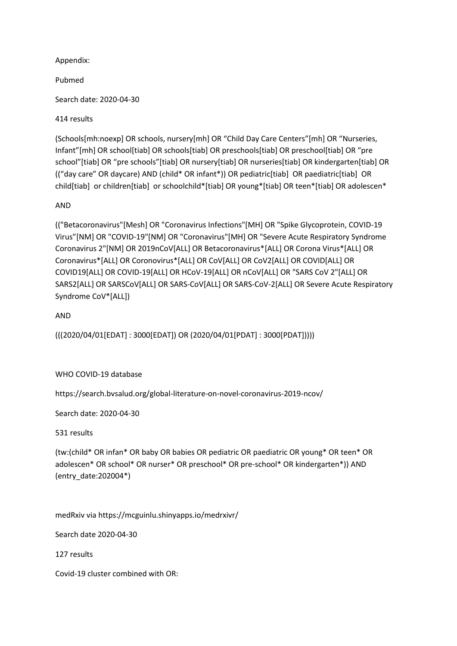Appendix:

Pubmed

Search date: 2020-04-30

414 results

(Schools[mh:noexp] OR schools, nursery[mh] OR "Child Day Care Centers"[mh] OR "Nurseries, Infant"[mh] OR school[tiab] OR schools[tiab] OR preschools[tiab] OR preschool[tiab] OR "pre school"[tiab] OR "pre schools"[tiab] OR nursery[tiab] OR nurseries[tiab] OR kindergarten[tiab] OR (("day care" OR daycare) AND (child\* OR infant\*)) OR pediatric[tiab] OR paediatric[tiab] OR child[tiab] or children[tiab] or schoolchild\*[tiab] OR young\*[tiab] OR teen\*[tiab] OR adolescen\*

## AND

(("Betacoronavirus"[Mesh] OR "Coronavirus Infections"[MH] OR "Spike Glycoprotein, COVID-19 Virus"[NM] OR "COVID-19"[NM] OR "Coronavirus"[MH] OR "Severe Acute Respiratory Syndrome Coronavirus 2"[NM] OR 2019nCoV[ALL] OR Betacoronavirus\*[ALL] OR Corona Virus\*[ALL] OR Coronavirus\*[ALL] OR Coronovirus\*[ALL] OR CoV[ALL] OR CoV2[ALL] OR COVID[ALL] OR COVID19[ALL] OR COVID-19[ALL] OR HCoV-19[ALL] OR nCoV[ALL] OR "SARS CoV 2"[ALL] OR SARS2[ALL] OR SARSCoV[ALL] OR SARS-CoV[ALL] OR SARS-CoV-2[ALL] OR Severe Acute Respiratory Syndrome CoV\*[ALL])

AND

(((2020/04/01[EDAT] : 3000[EDAT]) OR (2020/04/01[PDAT] : 3000[PDAT]))))

WHO COVID-19 database

https://search.bvsalud.org/global-literature-on-novel-coronavirus-2019-ncov/

Search date: 2020-04-30

531 results

(tw:(child\* OR infan\* OR baby OR babies OR pediatric OR paediatric OR young\* OR teen\* OR adolescen\* OR school\* OR nurser\* OR preschool\* OR pre-school\* OR kindergarten\*)) AND (entry\_date:202004\*)

medRxiv via https://mcguinlu.shinyapps.io/medrxivr/

Search date 2020-04-30

127 results

Covid-19 cluster combined with OR: